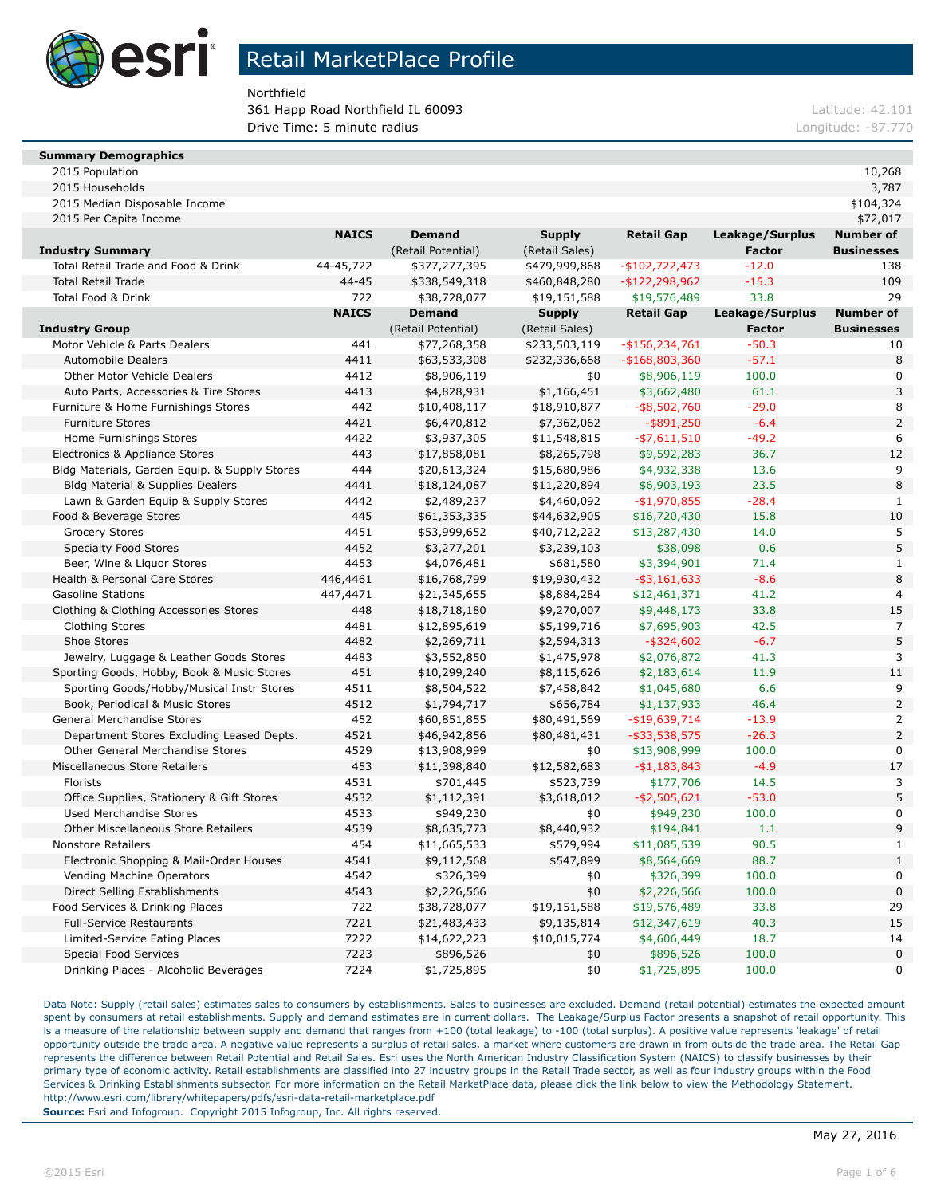

Northfield

**361 Happ Road Northfield IL 60093 Latitude: 42.101 Latitude: 42.101 Drive Time: 5 minute radius Longitude: -87.770** 

#### **Summary Demographics**

| 2015 Population | 10,268 |
|-----------------|--------|
|-----------------|--------|

| 2015 Median Disposable Income                 |              |                    |                |                   |                 | \$104,324         |
|-----------------------------------------------|--------------|--------------------|----------------|-------------------|-----------------|-------------------|
| 2015 Per Capita Income                        |              |                    |                |                   |                 | \$72,017          |
|                                               | <b>NAICS</b> | <b>Demand</b>      | <b>Supply</b>  | <b>Retail Gap</b> | Leakage/Surplus | Number of         |
| <b>Industry Summary</b>                       |              | (Retail Potential) | (Retail Sales) |                   | Factor          | <b>Businesses</b> |
| Total Retail Trade and Food & Drink           | 44-45,722    | \$377,277,395      | \$479,999,868  | $-$102,722,473$   | $-12.0$         | 138               |
| <b>Total Retail Trade</b>                     | 44-45        | \$338,549,318      | \$460,848,280  | $-$122,298,962$   | $-15.3$         | 109               |
| Total Food & Drink                            | 722          | \$38,728,077       | \$19,151,588   | \$19,576,489      | 33.8            | 29                |
|                                               | <b>NAICS</b> | <b>Demand</b>      | <b>Supply</b>  | <b>Retail Gap</b> | Leakage/Surplus | <b>Number of</b>  |
| Industry Group                                |              | (Retail Potential) | (Retail Sales) |                   | <b>Factor</b>   | <b>Businesses</b> |
| Motor Vehicle & Parts Dealers                 | 441          | \$77,268,358       | \$233,503,119  | $-$ \$156,234,761 | $-50.3$         | 10                |
| <b>Automobile Dealers</b>                     | 4411         | \$63,533,308       | \$232,336,668  | $-$ \$168,803,360 | $-57.1$         | 8                 |
| Other Motor Vehicle Dealers                   | 4412         | \$8,906,119        | \$0            | \$8,906,119       | 100.0           | 0                 |
| Auto Parts, Accessories & Tire Stores         | 4413         | \$4,828,931        | \$1,166,451    | \$3,662,480       | 61.1            | 3                 |
| Furniture & Home Furnishings Stores           | 442          | \$10,408,117       | \$18,910,877   | $-$ \$8,502,760   | $-29.0$         | 8                 |
| <b>Furniture Stores</b>                       | 4421         | \$6,470,812        | \$7,362,062    | $-$ \$891,250     | $-6.4$          | $\mathsf{2}\,$    |
| Home Furnishings Stores                       | 4422         | \$3,937,305        | \$11,548,815   | $-$ \$7,611,510   | $-49.2$         | 6                 |
| Electronics & Appliance Stores                | 443          | \$17,858,081       | \$8,265,798    | \$9,592,283       | 36.7            | 12                |
| Bldg Materials, Garden Equip. & Supply Stores | 444          | \$20,613,324       | \$15,680,986   | \$4,932,338       | 13.6            | 9                 |
| <b>Bldg Material &amp; Supplies Dealers</b>   | 4441         | \$18,124,087       | \$11,220,894   | \$6,903,193       | 23.5            | 8                 |
| Lawn & Garden Equip & Supply Stores           | 4442         | \$2,489,237        | \$4,460,092    | $-$1,970,855$     | $-28.4$         | 1                 |
| Food & Beverage Stores                        | 445          | \$61,353,335       | \$44,632,905   | \$16,720,430      | 15.8            | 10                |
| <b>Grocery Stores</b>                         | 4451         | \$53,999,652       | \$40,712,222   | \$13,287,430      | 14.0            | 5                 |
| <b>Specialty Food Stores</b>                  | 4452         | \$3,277,201        | \$3,239,103    | \$38,098          | 0.6             | 5                 |
| Beer, Wine & Liguor Stores                    | 4453         | \$4,076,481        | \$681,580      | \$3,394,901       | 71.4            | $\mathbf{1}$      |
| Health & Personal Care Stores                 | 446,4461     | \$16,768,799       | \$19,930,432   | $-$ \$3,161,633   | $-8.6$          | 8                 |
| <b>Gasoline Stations</b>                      | 447,4471     | \$21,345,655       | \$8,884,284    | \$12,461,371      | 41.2            | $\overline{4}$    |
| Clothing & Clothing Accessories Stores        | 448          | \$18,718,180       | \$9,270,007    | \$9,448,173       | 33.8            | 15                |
| <b>Clothing Stores</b>                        | 4481         | \$12,895,619       | \$5,199,716    | \$7,695,903       | 42.5            | 7                 |
| Shoe Stores                                   | 4482         | \$2,269,711        | \$2,594,313    | $-$ \$324,602     | $-6.7$          | 5                 |
| Jewelry, Luggage & Leather Goods Stores       | 4483         | \$3,552,850        | \$1,475,978    | \$2,076,872       | 41.3            | 3                 |
| Sporting Goods, Hobby, Book & Music Stores    | 451          | \$10,299,240       | \$8,115,626    | \$2,183,614       | 11.9            | 11                |
| Sporting Goods/Hobby/Musical Instr Stores     | 4511         | \$8,504,522        | \$7,458,842    | \$1,045,680       | 6.6             | 9                 |
| Book, Periodical & Music Stores               | 4512         | \$1,794,717        | \$656,784      | \$1,137,933       | 46.4            |                   |
| General Merchandise Stores                    | 452          | \$60,851,855       | \$80,491,569   | -\$19,639,714     | $-13.9$         | $\overline{2}$    |
| Department Stores Excluding Leased Depts.     | 4521         | \$46,942,856       | \$80,481,431   | $-$ \$33,538,575  | $-26.3$         | $\overline{2}$    |
| <b>Other General Merchandise Stores</b>       | 4529         | \$13,908,999       | \$0            | \$13,908,999      | 100.0           | 0                 |
| Miscellaneous Store Retailers                 | 453          | \$11,398,840       | \$12,582,683   | $- $1,183,843$    | $-4.9$          | 17                |
| Florists                                      | 4531         | \$701,445          | \$523,739      | \$177,706         | 14.5            | 3                 |
| Office Supplies, Stationery & Gift Stores     | 4532         | \$1,112,391        | \$3,618,012    | $-$ \$2,505,621   | $-53.0$         | 5                 |
| Used Merchandise Stores                       | 4533         | \$949,230          | \$0            | \$949,230         | 100.0           | 0                 |
| Other Miscellaneous Store Retailers           | 4539         | \$8,635,773        | \$8,440,932    | \$194,841         | 1.1             | 9                 |
| <b>Nonstore Retailers</b>                     | 454          | \$11,665,533       | \$579,994      | \$11,085,539      | 90.5            | $\mathbf{1}$      |
| Electronic Shopping & Mail-Order Houses       | 4541         | \$9,112,568        | \$547,899      | \$8,564,669       | 88.7            | $\mathbf{1}$      |
| Vending Machine Operators                     | 4542         | \$326,399          | \$0            | \$326,399         | 100.0           | $\mathbf 0$       |
| Direct Selling Establishments                 | 4543         | \$2,226,566        | \$0            | \$2,226,566       | 100.0           | 0                 |
| Food Services & Drinking Places               | 722          | \$38,728,077       | \$19,151,588   | \$19,576,489      | 33.8            | 29                |
| <b>Full-Service Restaurants</b>               | 7221         | \$21,483,433       | \$9,135,814    | \$12,347,619      | 40.3            | 15                |
| Limited-Service Eating Places                 | 7222         | \$14,622,223       | \$10,015,774   | \$4,606,449       | 18.7            | 14                |
| <b>Special Food Services</b>                  | 7223         | \$896,526          | \$0            | \$896,526         | 100.0           | 0                 |
| Drinking Places - Alcoholic Beverages         | 7224         | \$1,725,895        | \$0            | \$1,725,895       | 100.0           | 0                 |
|                                               |              |                    |                |                   |                 |                   |

2015 Households 3,787

Data Note: Supply (retail sales) estimates sales to consumers by establishments. Sales to businesses are excluded. Demand (retail potential) estimates the expected amount spent by consumers at retail establishments. Supply and demand estimates are in current dollars. The Leakage/Surplus Factor presents a snapshot of retail opportunity. This is a measure of the relationship between supply and demand that ranges from +100 (total leakage) to -100 (total surplus). A positive value represents 'leakage' of retail opportunity outside the trade area. A negative value represents a surplus of retail sales, a market where customers are drawn in from outside the trade area. The Retail Gap represents the difference between Retail Potential and Retail Sales. Esri uses the North American Industry Classification System (NAICS) to classify businesses by their primary type of economic activity. Retail establishments are classified into 27 industry groups in the Retail Trade sector, as well as four industry groups within the Food Services & Drinking Establishments subsector. For more information on the Retail MarketPlace data, please click the link below to view the Methodology Statement. http://www.esri.com/library/whitepapers/pdfs/esri-data-retail-marketplace.pdf **Source:** Esri and Infogroup. Copyright 2015 Infogroup, Inc. All rights reserved.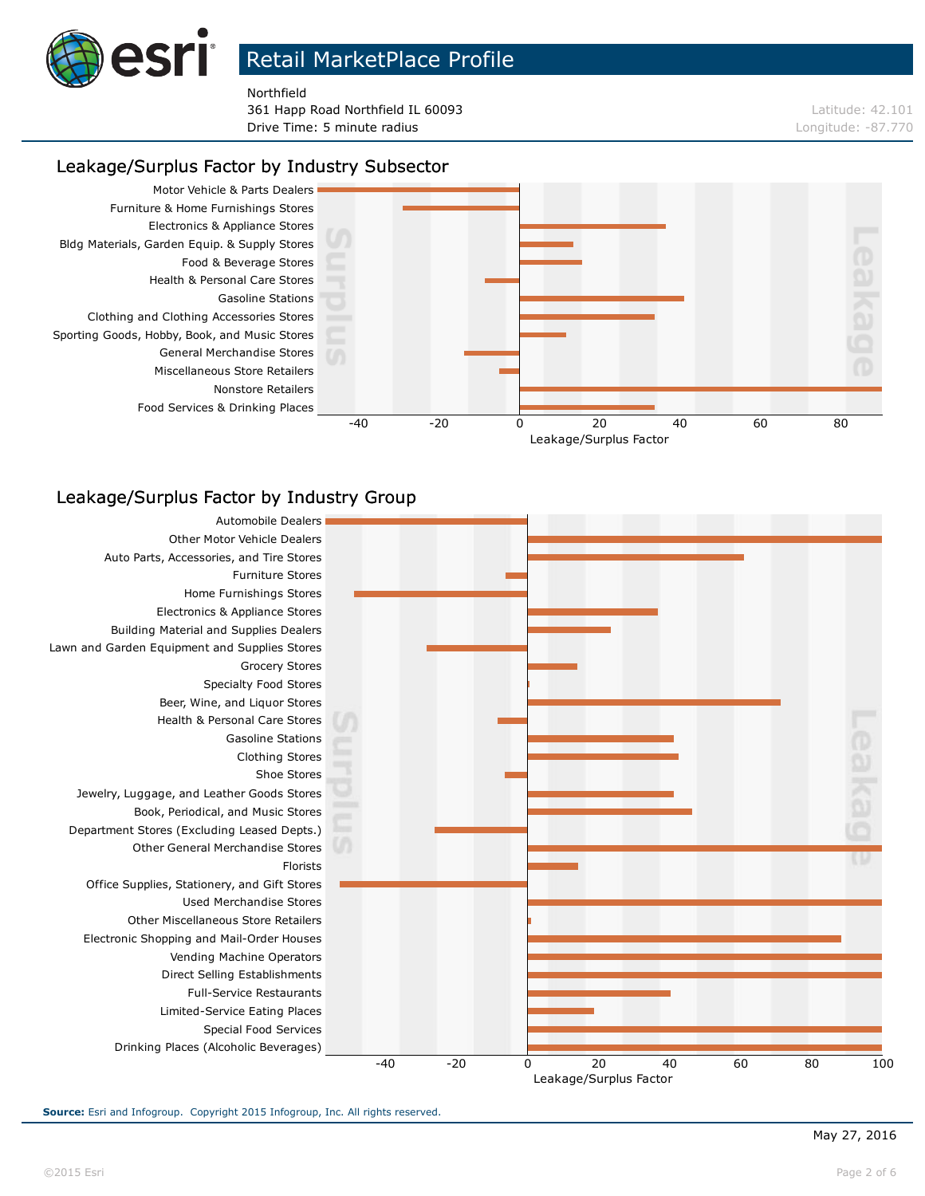

Northfield

**361 Happ Road Northfield IL 60093 Latitude: 42.101 Latitude: 42.101 Drive Time: 5 minute radius Longitude: -87.770** 

#### Leakage/Surplus Factor by Industry Subsector



### Leakage/Surplus Factor by Industry Group



**Source:** Esri and Infogroup. Copyright 2015 Infogroup, Inc. All rights reserved.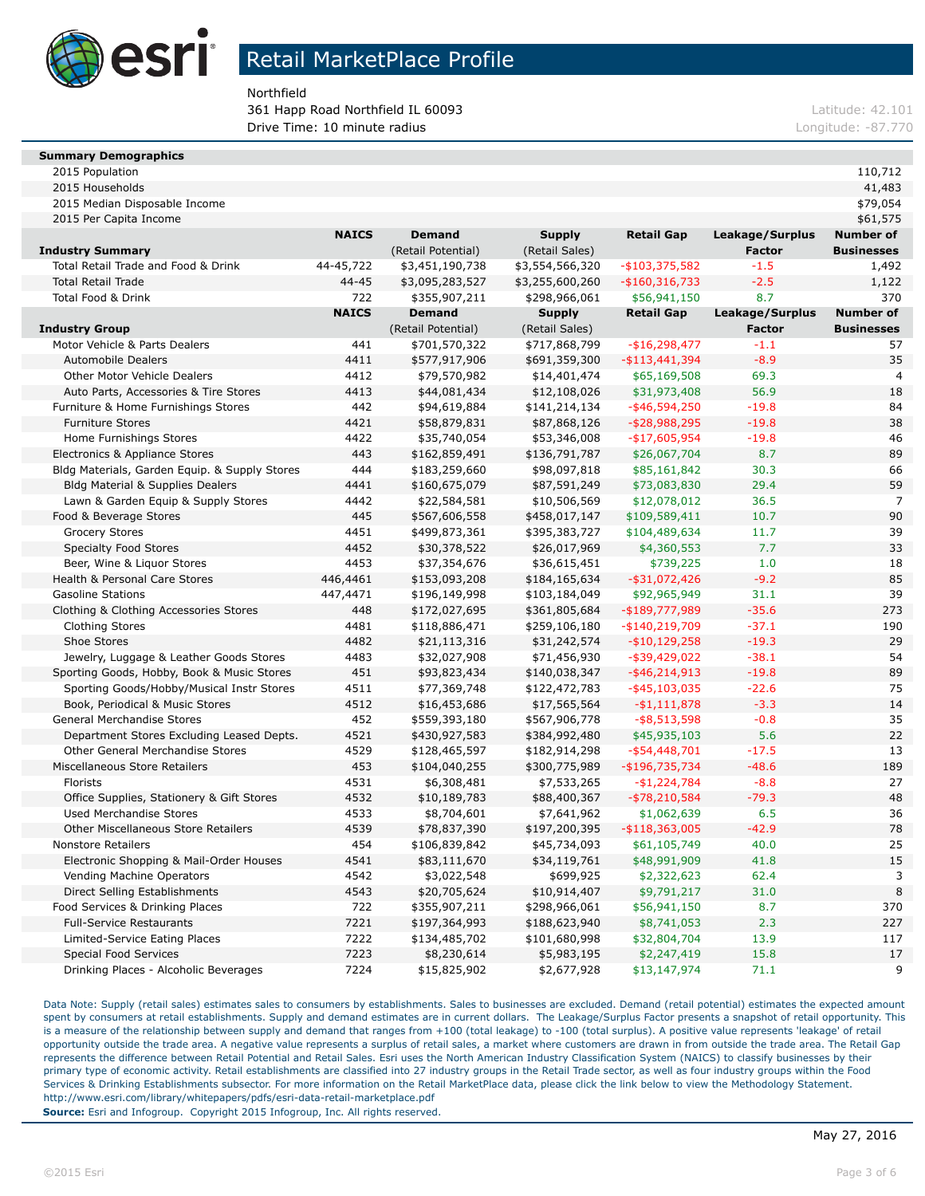

Northfield

**361 Happ Road Northfield IL 60093 Latitude: 42.101 Latitude: 42.101 Drive Time: 10 minute radius Longitude: -87.770** 

#### **Summary Demographics**

| 2015 Population | 110,712<br>$\sim$ $\sim$ |  |  |  |
|-----------------|--------------------------|--|--|--|
|-----------------|--------------------------|--|--|--|

| 2015 Median Disposable Income                 |              |                    |                 |                   |                 | \$79,054          |
|-----------------------------------------------|--------------|--------------------|-----------------|-------------------|-----------------|-------------------|
| 2015 Per Capita Income                        |              |                    |                 |                   |                 | \$61,575          |
|                                               | <b>NAICS</b> | <b>Demand</b>      | <b>Supply</b>   | <b>Retail Gap</b> | Leakage/Surplus | <b>Number of</b>  |
| <b>Industry Summary</b>                       |              | (Retail Potential) | (Retail Sales)  |                   | Factor          | <b>Businesses</b> |
| Total Retail Trade and Food & Drink           | 44-45,722    | \$3,451,190,738    | \$3,554,566,320 | $-$103,375,582$   | $-1.5$          | 1,492             |
| <b>Total Retail Trade</b>                     | 44-45        | \$3,095,283,527    | \$3,255,600,260 | $-$ \$160,316,733 | $-2.5$          | 1,122             |
| <b>Total Food &amp; Drink</b>                 | 722          | \$355,907,211      | \$298,966,061   | \$56,941,150      | 8.7             | 370               |
|                                               | <b>NAICS</b> | <b>Demand</b>      | Supply          | <b>Retail Gap</b> | Leakage/Surplus | <b>Number of</b>  |
| Industry Group                                |              | (Retail Potential) | (Retail Sales)  |                   | <b>Factor</b>   | <b>Businesses</b> |
| Motor Vehicle & Parts Dealers                 | 441          | \$701,570,322      | \$717,868,799   | $-$16,298,477$    | $-1.1$          | 57                |
| <b>Automobile Dealers</b>                     | 4411         | \$577,917,906      | \$691,359,300   | -\$113,441,394    | $-8.9$          | 35                |
| <b>Other Motor Vehicle Dealers</b>            | 4412         | \$79,570,982       | \$14,401,474    | \$65,169,508      | 69.3            | 4                 |
| Auto Parts, Accessories & Tire Stores         | 4413         | \$44,081,434       | \$12,108,026    | \$31,973,408      | 56.9            | 18                |
| Furniture & Home Furnishings Stores           | 442          | \$94,619,884       | \$141,214,134   | $-$ \$46,594,250  | $-19.8$         | 84                |
| <b>Furniture Stores</b>                       | 4421         | \$58,879,831       | \$87,868,126    | $-$ \$28,988,295  | $-19.8$         | 38                |
| Home Furnishings Stores                       | 4422         | \$35,740,054       | \$53,346,008    | -\$17,605,954     | $-19.8$         | 46                |
| Electronics & Appliance Stores                | 443          | \$162,859,491      | \$136,791,787   | \$26,067,704      | 8.7             | 89                |
| Bldg Materials, Garden Equip. & Supply Stores | 444          | \$183,259,660      | \$98,097,818    | \$85,161,842      | 30.3            | 66                |
| <b>Bldg Material &amp; Supplies Dealers</b>   | 4441         | \$160,675,079      | \$87,591,249    | \$73,083,830      | 29.4            | 59                |
| Lawn & Garden Equip & Supply Stores           | 4442         | \$22,584,581       | \$10,506,569    | \$12,078,012      | 36.5            | 7                 |
| Food & Beverage Stores                        | 445          | \$567,606,558      | \$458,017,147   | \$109,589,411     | 10.7            | 90                |
| <b>Grocery Stores</b>                         | 4451         | \$499,873,361      | \$395,383,727   | \$104,489,634     | 11.7            | 39                |
| <b>Specialty Food Stores</b>                  | 4452         | \$30,378,522       | \$26,017,969    | \$4,360,553       | 7.7             | 33                |
| Beer, Wine & Liguor Stores                    | 4453         | \$37,354,676       | \$36,615,451    | \$739,225         | 1.0             | 18                |
| Health & Personal Care Stores                 | 446,4461     | \$153,093,208      | \$184,165,634   | $-$ \$31,072,426  | $-9.2$          | 85                |
| <b>Gasoline Stations</b>                      | 447,4471     | \$196,149,998      | \$103,184,049   | \$92,965,949      | 31.1            | 39                |
| Clothing & Clothing Accessories Stores        | 448          | \$172,027,695      | \$361,805,684   | -\$189,777,989    | $-35.6$         | 273               |
| <b>Clothing Stores</b>                        | 4481         | \$118,886,471      | \$259,106,180   | -\$140,219,709    | $-37.1$         | 190               |
| Shoe Stores                                   | 4482         | \$21,113,316       | \$31,242,574    | $-$ \$10,129,258  | $-19.3$         | 29                |
| Jewelry, Luggage & Leather Goods Stores       | 4483         | \$32,027,908       | \$71,456,930    | $-$ \$39,429,022  | $-38.1$         | 54                |
| Sporting Goods, Hobby, Book & Music Stores    | 451          | \$93,823,434       | \$140,038,347   | $-$ \$46,214,913  | $-19.8$         | 89                |
| Sporting Goods/Hobby/Musical Instr Stores     | 4511         | \$77,369,748       | \$122,472,783   | $-$ \$45,103,035  | $-22.6$         | 75                |
| Book, Periodical & Music Stores               | 4512         | \$16,453,686       | \$17,565,564    | $- $1,111,878$    | $-3.3$          | 14                |
| General Merchandise Stores                    | 452          | \$559,393,180      | \$567,906,778   | $-$ \$8,513,598   | $-0.8$          | 35                |
| Department Stores Excluding Leased Depts.     | 4521         | \$430,927,583      | \$384,992,480   | \$45,935,103      | 5.6             | 22                |
| <b>Other General Merchandise Stores</b>       | 4529         | \$128,465,597      | \$182,914,298   | $-$ \$54,448,701  | $-17.5$         | 13                |
| Miscellaneous Store Retailers                 | 453          | \$104,040,255      | \$300,775,989   | $-$ \$196,735,734 | $-48.6$         | 189               |
| Florists                                      | 4531         | \$6,308,481        | \$7,533,265     | $-$1,224,784$     | $-8.8$          | 27                |
| Office Supplies, Stationery & Gift Stores     | 4532         | \$10,189,783       | \$88,400,367    | $-$ \$78,210,584  | $-79.3$         | 48                |
| Used Merchandise Stores                       | 4533         | \$8,704,601        | \$7,641,962     | \$1,062,639       | 6.5             | 36                |
| Other Miscellaneous Store Retailers           | 4539         | \$78,837,390       | \$197,200,395   | $-$ \$118,363,005 | $-42.9$         | 78                |
| <b>Nonstore Retailers</b>                     | 454          | \$106,839,842      | \$45,734,093    | \$61,105,749      | 40.0            | 25                |
| Electronic Shopping & Mail-Order Houses       | 4541         | \$83,111,670       | \$34,119,761    | \$48,991,909      | 41.8            | 15                |
| Vending Machine Operators                     | 4542         | \$3,022,548        | \$699,925       | \$2,322,623       | 62.4            | 3                 |
| Direct Selling Establishments                 | 4543         | \$20,705,624       | \$10,914,407    | \$9,791,217       | 31.0            | 8                 |
| Food Services & Drinking Places               | 722          | \$355,907,211      | \$298,966,061   | \$56,941,150      | 8.7             | 370               |
| <b>Full-Service Restaurants</b>               | 7221         | \$197,364,993      | \$188,623,940   | \$8,741,053       | 2.3             | 227               |
| Limited-Service Eating Places                 | 7222         | \$134,485,702      | \$101,680,998   | \$32,804,704      | 13.9            | 117               |
| <b>Special Food Services</b>                  | 7223         | \$8,230,614        | \$5,983,195     | \$2,247,419       | 15.8            | 17                |
| Drinking Places - Alcoholic Beverages         | 7224         | \$15,825,902       | \$2,677,928     | \$13,147,974      | 71.1            | 9                 |
|                                               |              |                    |                 |                   |                 |                   |

2015 Households 41,483

Data Note: Supply (retail sales) estimates sales to consumers by establishments. Sales to businesses are excluded. Demand (retail potential) estimates the expected amount spent by consumers at retail establishments. Supply and demand estimates are in current dollars. The Leakage/Surplus Factor presents a snapshot of retail opportunity. This is a measure of the relationship between supply and demand that ranges from +100 (total leakage) to -100 (total surplus). A positive value represents 'leakage' of retail opportunity outside the trade area. A negative value represents a surplus of retail sales, a market where customers are drawn in from outside the trade area. The Retail Gap represents the difference between Retail Potential and Retail Sales. Esri uses the North American Industry Classification System (NAICS) to classify businesses by their primary type of economic activity. Retail establishments are classified into 27 industry groups in the Retail Trade sector, as well as four industry groups within the Food Services & Drinking Establishments subsector. For more information on the Retail MarketPlace data, please click the link below to view the Methodology Statement. http://www.esri.com/library/whitepapers/pdfs/esri-data-retail-marketplace.pdf **Source:** Esri and Infogroup. Copyright 2015 Infogroup, Inc. All rights reserved.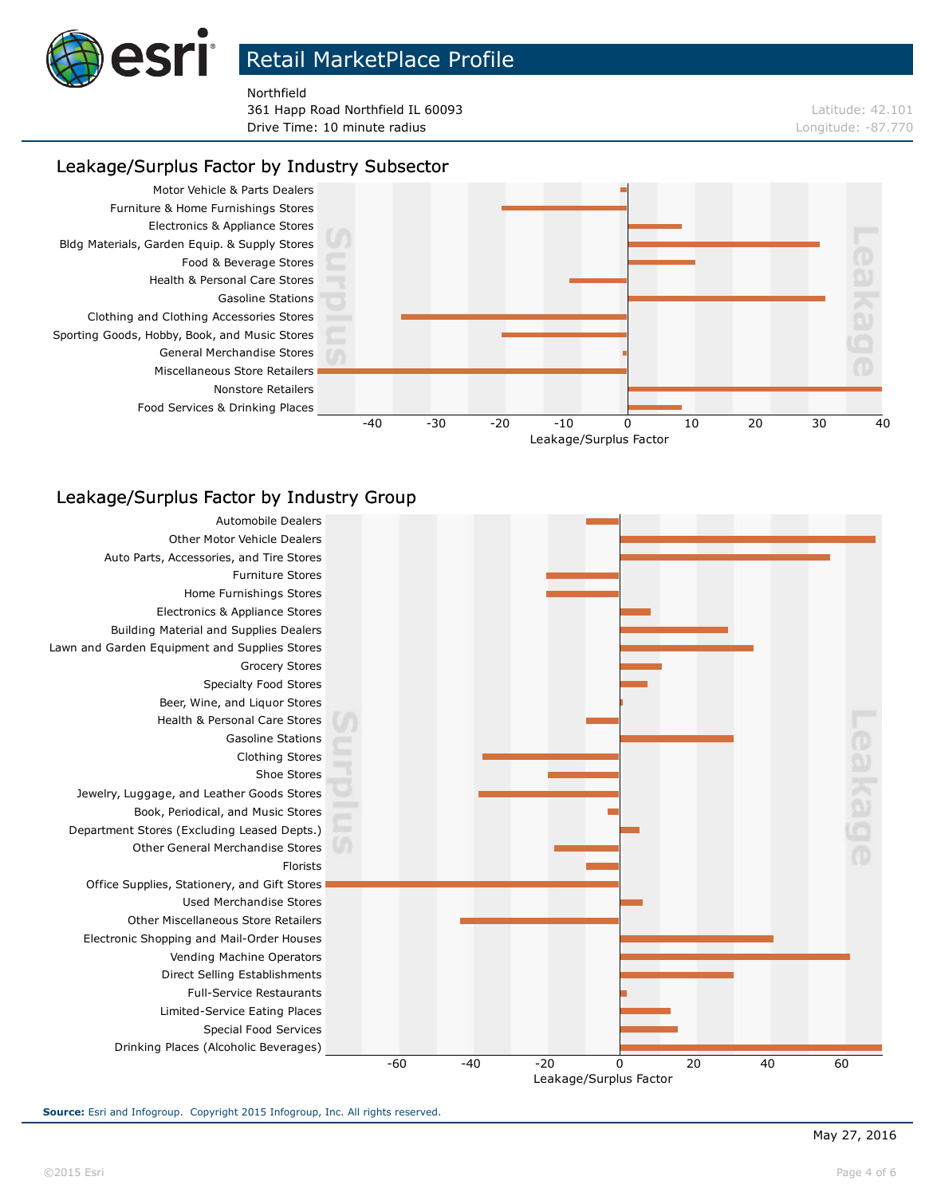

Northfield

**361 Happ Road Northfield IL 60093 Latitude: 42.101 Drive Time: 10 minute radius Longitude: -87.770** 

#### Leakage/Surplus Factor by Industry Subsector



### Leakage/Surplus Factor by Industry Group



**Source:** Esri and Infogroup. Copyright 2015 Infogroup, Inc. All rights reserved.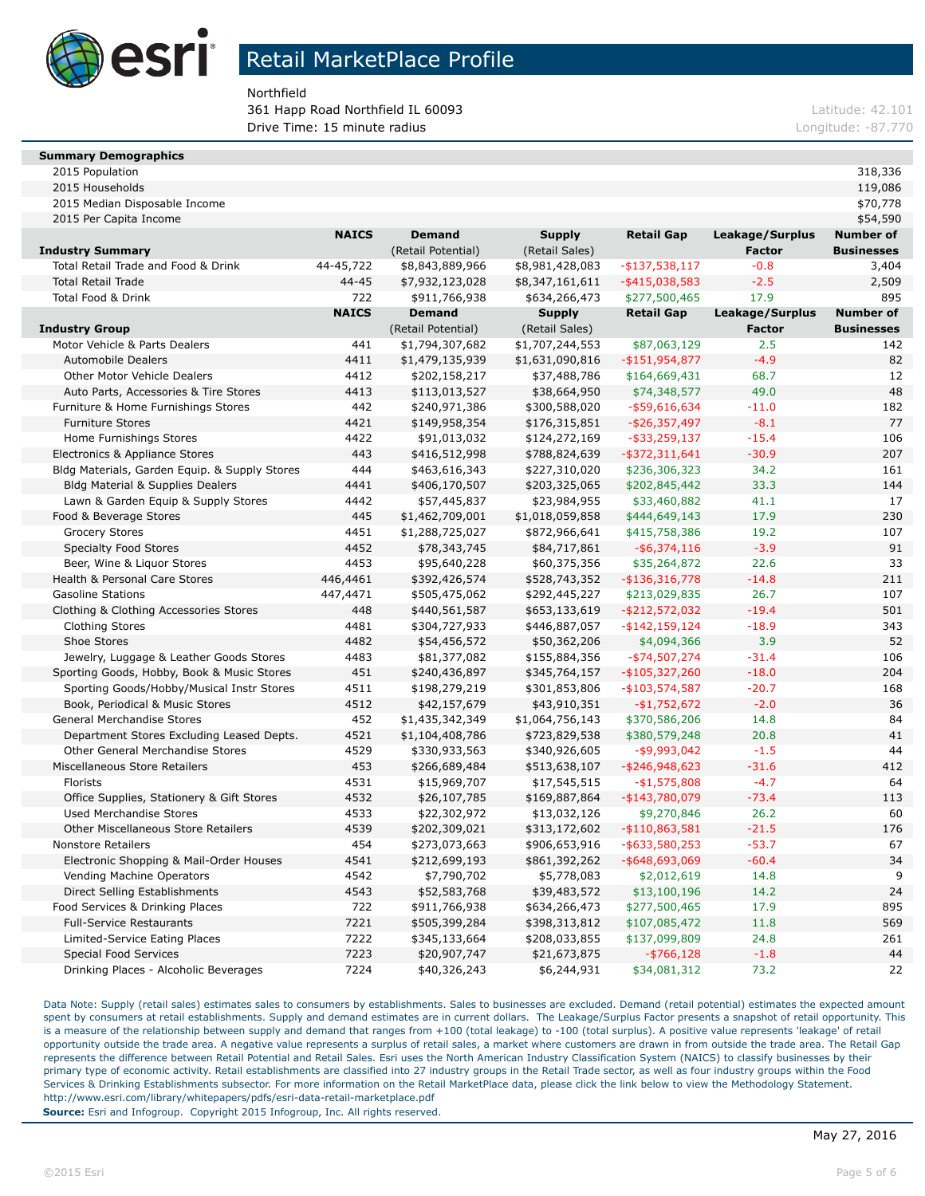

Northfield

**361 Happ Road Northfield IL 60093 Latitude: 42.101 Latitude: 42.101 Drive Time: 15 minute radius** Longitude: -87.770

#### **Summary Demographics**

| 2015 Population<br>. | 318,336 |
|----------------------|---------|
|----------------------|---------|

| 2015 Median Disposable Income                 |              |                    |                 |                   |                 | \$70,778          |
|-----------------------------------------------|--------------|--------------------|-----------------|-------------------|-----------------|-------------------|
| 2015 Per Capita Income                        |              |                    |                 |                   |                 | \$54,590          |
|                                               | <b>NAICS</b> | <b>Demand</b>      | <b>Supply</b>   | <b>Retail Gap</b> | Leakage/Surplus | <b>Number of</b>  |
| <b>Industry Summary</b>                       |              | (Retail Potential) | (Retail Sales)  |                   | <b>Factor</b>   | <b>Businesses</b> |
| Total Retail Trade and Food & Drink           | 44-45,722    | \$8,843,889,966    | \$8,981,428,083 | $-$ \$137,538,117 | $-0.8$          | 3,404             |
| <b>Total Retail Trade</b>                     | $44 - 45$    | \$7,932,123,028    | \$8,347,161,611 | $-$ \$415,038,583 | $-2.5$          | 2,509             |
| Total Food & Drink                            | 722          | \$911,766,938      | \$634,266,473   | \$277,500,465     | 17.9            | 895               |
|                                               | <b>NAICS</b> | <b>Demand</b>      | <b>Supply</b>   | <b>Retail Gap</b> | Leakage/Surplus | <b>Number of</b>  |
| <b>Industry Group</b>                         |              | (Retail Potential) | (Retail Sales)  |                   | <b>Factor</b>   | <b>Businesses</b> |
| Motor Vehicle & Parts Dealers                 | 441          | \$1,794,307,682    | \$1,707,244,553 | \$87,063,129      | 2.5             | 142               |
| <b>Automobile Dealers</b>                     | 4411         | \$1,479,135,939    | \$1,631,090,816 | $-$ \$151,954,877 | $-4.9$          | 82                |
| <b>Other Motor Vehicle Dealers</b>            | 4412         | \$202,158,217      | \$37,488,786    | \$164,669,431     | 68.7            | 12                |
| Auto Parts, Accessories & Tire Stores         | 4413         | \$113,013,527      | \$38,664,950    | \$74,348,577      | 49.0            | 48                |
| Furniture & Home Furnishings Stores           | 442          | \$240,971,386      | \$300,588,020   | $-$ \$59,616,634  | $-11.0$         | 182               |
| <b>Furniture Stores</b>                       | 4421         | \$149,958,354      | \$176,315,851   | $-$ \$26,357,497  | $-8.1$          | 77                |
| Home Furnishings Stores                       | 4422         | \$91,013,032       | \$124,272,169   | $-$ \$33,259,137  | $-15.4$         | 106               |
| Electronics & Appliance Stores                | 443          | \$416,512,998      | \$788,824,639   | $-$ \$372,311,641 | $-30.9$         | 207               |
| Bldg Materials, Garden Equip. & Supply Stores | 444          | \$463,616,343      | \$227,310,020   | \$236,306,323     | 34.2            | 161               |
| Bldg Material & Supplies Dealers              | 4441         | \$406,170,507      | \$203,325,065   | \$202,845,442     | 33.3            | 144               |
| Lawn & Garden Equip & Supply Stores           | 4442         | \$57,445,837       | \$23,984,955    | \$33,460,882      | 41.1            | 17                |
| Food & Beverage Stores                        | 445          | \$1,462,709,001    | \$1,018,059,858 | \$444,649,143     | 17.9            | 230               |
| <b>Grocery Stores</b>                         | 4451         | \$1,288,725,027    | \$872,966,641   | \$415,758,386     | 19.2            | 107               |
| <b>Specialty Food Stores</b>                  | 4452         | \$78,343,745       | \$84,717,861    | $-$ \$6,374,116   | $-3.9$          | 91                |
| Beer, Wine & Liquor Stores                    | 4453         | \$95,640,228       | \$60,375,356    | \$35,264,872      | 22.6            | 33                |
| Health & Personal Care Stores                 | 446,4461     | \$392,426,574      | \$528,743,352   | $-$ \$136,316,778 | $-14.8$         | 211               |
| <b>Gasoline Stations</b>                      | 447,4471     | \$505,475,062      | \$292,445,227   | \$213,029,835     | 26.7            | 107               |
| Clothing & Clothing Accessories Stores        | 448          | \$440,561,587      | \$653,133,619   | $-$212,572,032$   | $-19.4$         | 501               |
| <b>Clothing Stores</b>                        | 4481         | \$304,727,933      | \$446,887,057   | $-$ \$142,159,124 | $-18.9$         | 343               |
| Shoe Stores                                   | 4482         | \$54,456,572       | \$50,362,206    | \$4,094,366       | 3.9             | 52                |
| Jewelry, Luggage & Leather Goods Stores       | 4483         | \$81,377,082       | \$155,884,356   | $-$ \$74,507,274  | $-31.4$         | 106               |
| Sporting Goods, Hobby, Book & Music Stores    | 451          | \$240,436,897      | \$345,764,157   | $-$105,327,260$   | $-18.0$         | 204               |
| Sporting Goods/Hobby/Musical Instr Stores     | 4511         | \$198,279,219      | \$301,853,806   | $-$103,574,587$   | $-20.7$         | 168               |
| Book, Periodical & Music Stores               | 4512         | \$42,157,679       | \$43,910,351    | $-$1,752,672$     | $-2.0$          | 36                |
| General Merchandise Stores                    | 452          | \$1,435,342,349    | \$1,064,756,143 | \$370,586,206     | 14.8            | 84                |
| Department Stores Excluding Leased Depts.     | 4521         | \$1,104,408,786    | \$723,829,538   | \$380,579,248     | 20.8            | 41                |
| Other General Merchandise Stores              | 4529         | \$330,933,563      | \$340,926,605   | $-$ \$9,993,042   | $-1.5$          | 44                |
| Miscellaneous Store Retailers                 | 453          | \$266,689,484      | \$513,638,107   | $-$ \$246,948,623 | $-31.6$         | 412               |
| Florists                                      | 4531         | \$15,969,707       | \$17,545,515    | $-$1,575,808$     | $-4.7$          | 64                |
| Office Supplies, Stationery & Gift Stores     | 4532         | \$26,107,785       | \$169,887,864   | -\$143,780,079    | $-73.4$         | 113               |
| <b>Used Merchandise Stores</b>                | 4533         | \$22,302,972       | \$13,032,126    | \$9,270,846       | 26.2            | 60                |
| <b>Other Miscellaneous Store Retailers</b>    | 4539         | \$202,309,021      | \$313,172,602   | $-$110,863,581$   | $-21.5$         | 176               |
| <b>Nonstore Retailers</b>                     | 454          | \$273,073,663      | \$906,653,916   | $-$ \$633,580,253 | $-53.7$         | 67                |
| Electronic Shopping & Mail-Order Houses       | 4541         | \$212,699,193      | \$861,392,262   | $-$ \$648,693,069 | $-60.4$         | 34                |
| Vending Machine Operators                     | 4542         | \$7,790,702        | \$5,778,083     | \$2,012,619       | 14.8            | 9                 |
| Direct Selling Establishments                 | 4543         | \$52,583,768       | \$39,483,572    | \$13,100,196      | 14.2            | 24                |
| Food Services & Drinking Places               | 722          | \$911,766,938      | \$634,266,473   | \$277,500,465     | 17.9            | 895               |
| <b>Full-Service Restaurants</b>               | 7221         | \$505,399,284      | \$398,313,812   | \$107,085,472     | 11.8            | 569               |
| Limited-Service Eating Places                 | 7222         | \$345,133,664      | \$208,033,855   | \$137,099,809     | 24.8            | 261               |
| <b>Special Food Services</b>                  | 7223         | \$20,907,747       | \$21,673,875    | $-$ \$766,128     | $-1.8$          | 44                |
| Drinking Places - Alcoholic Beverages         | 7224         | \$40,326,243       | \$6,244,931     | \$34,081,312      | 73.2            | 22                |

2015 Households 119,086

Data Note: Supply (retail sales) estimates sales to consumers by establishments. Sales to businesses are excluded. Demand (retail potential) estimates the expected amount spent by consumers at retail establishments. Supply and demand estimates are in current dollars. The Leakage/Surplus Factor presents a snapshot of retail opportunity. This is a measure of the relationship between supply and demand that ranges from +100 (total leakage) to -100 (total surplus). A positive value represents 'leakage' of retail opportunity outside the trade area. A negative value represents a surplus of retail sales, a market where customers are drawn in from outside the trade area. The Retail Gap represents the difference between Retail Potential and Retail Sales. Esri uses the North American Industry Classification System (NAICS) to classify businesses by their primary type of economic activity. Retail establishments are classified into 27 industry groups in the Retail Trade sector, as well as four industry groups within the Food Services & Drinking Establishments subsector. For more information on the Retail MarketPlace data, please click the link below to view the Methodology Statement. http://www.esri.com/library/whitepapers/pdfs/esri-data-retail-marketplace.pdf **Source:** Esri and Infogroup. Copyright 2015 Infogroup, Inc. All rights reserved.